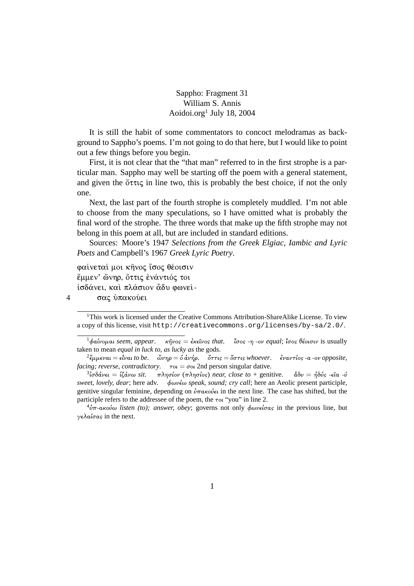Sappho: Fragment 31 William S. Annis Aoidoi.org<sup>1</sup> July 18, 2004

It is still the habit of some commentators to concoct melodramas as background to Sappho's poems. I'm not going to do that here, but I would like to point out a few things before you begin.

First, it is not clear that the "that man" referred to in the first strophe is a particular man. Sappho may well be starting off the poem with a general statement, and given the  $\delta \tau \tau \tau \zeta$  in line two, this is probably the best choice, if not the only one.

Next, the last part of the fourth strophe is completely muddled. I'm not able to choose from the many speculations, so I have omitted what is probably the final word of the strophe. The three words that make up the fifth strophe may not belong in this poem at all, but are included in standard editions.

Sources: Moore's 1947 Selections from the Greek Elgiac, Iambic and Lyric Poets and Campbell's 1967 Greek Lyric Poetry.

φαίνεταί μοι κήνος ίσος θέοισιν έμμεν' ώνηρ, όττις ενάντιός τοι ίσδάνει, και πλάσιον ἆδυ φωνεί-

 $\overline{4}$ σας ύπακούει

 $1$ This work is licensed under the Creative Commons Attribution-Share Alike License. To view a copy of this license, visit http://creativecommons.org/licenses/by-sa/2.0/.

 $\kappa \hat{\eta} \nu$ os =  $\hat{\epsilon} \kappa \hat{\epsilon} \nu$ os that. (σος -η -ov equal; (σος θέοισιν is usually  $^{-1}$ фаі́vоµаі seem, appear. taken to mean *equal in luck to, as lucky as the gods.* 

 ${}^{2}\xi\mu\mu\epsilon\nu\alpha\iota = \epsilon\hat{i}\nu\alpha\iota$  to be. "ὤνηρ = ό ἀνήρ. " ὄττις = ὅστις whoever. ' ἐναντίος -α -ον opposite, *facing; reverse, contradictory.*  $\tau o_l = \sigma o_l$  2nd person singular dative.

 $\delta^3$ ίσδάνει = ίζάνω sit. πλησίον (πλησίος) near, close to + genitive.  $\delta \delta v = \eta \delta v \sin \theta$ ς -εῖα -ύ sweet, lovely, dear; here adv. φωνέω speak, sound; cry call; here an Aeolic present participle, genitive singular feminine, depending on  $\partial \pi \alpha \kappa \omega \epsilon \iota$  in the next line. The case has shifted, but the participle refers to the addressee of the poem, the  $\tau o \iota$  "you" in line 2.

 $\frac{4}{v}$  $\pi$ -ακούω listen (to); answer, obey; governs not only φωνείσας in the previous line, but  $\gamma \epsilon \lambda a \iota \sigma a s$  in the next.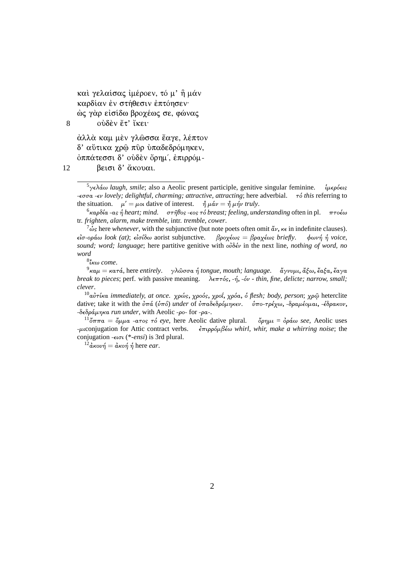καί γελαίσας ίμέροεν, τό μ' η μάν καρδίαν έν στήθεσιν έπτόησεν· ώς γὰρ εἰσίδω βροχέως σε, φώνας

ούδεν έτ' ίκει

8

άλλά καμ μέν γλώσσα έαγε, λέπτον δ' αύτικα χρώ πύρ ύπαδεδρόμηκεν, όππάτεσσι δ' ούδεν ὄρημ', έπιρρόμβεισι δ' ἄκουαι.

12

<sup>6</sup>καρδία -as ή heart; mind.  $\sigma \tau$ ήθος -εος τό breast; feeling, understanding often in pl.  $\pi \tau$ οέω tr. frighten, alarm, make tremble, intr. tremble, cower.

 $\frac{7}{10}$  is here whenever, with the subjunctive (but note poets often omit  $\frac{dy}{dx}$ ,  $\kappa \in \mathbb{R}$  in indefinite clauses).  $\epsilon$ ίσ-οράω look (at); είσίδω aorist subjunctive. βροχέως = βραχέως briefly.  $φων<sub>η</sub> *η voice*,$ sound; word; language; here partitive genitive with  $\omega\delta\acute{\epsilon}\nu$  in the next line, nothing of word, no word

 $8"$ κω come.

 $\alpha^9$ καμ = κατά, here entirely. γλώσσα ή tongue, mouth; language. «γνυμι, ἄξω, ἔαξα, ἔαγα break to pieces; perf. with passive meaning.  $\lambda \epsilon \pi \tau \delta s$ , - $\eta$ , - $\delta \nu$  - thin, fine, delicte; narrow, small; clever.

<sup>10</sup>αύτίκα immediately, at once. χρώς, χροός, χροΐ, χρόα, ό flesh; body, person; χρώ heterclite dative; take it with the  $\dot{v}\pi\dot{a}$  ( $\dot{v}\pi\dot{o}$ ) under of  $\dot{v}\pi a\delta \epsilon \delta \rho \dot{\phi} \mu \eta \kappa \epsilon \nu$ .  $\dot{v}\pi o - \tau \rho \epsilon \chi \omega$ ,  $-\delta \rho \alpha \mu \dot{\epsilon} \rho \mu \alpha \nu$ ,  $-\epsilon \delta \rho \alpha \kappa \sigma \nu$ , -δεδράμηκα run under, with Aeolic -ρο- for -ρα-.

 $\phi$ ρημι =  $\phi$ ράω see, Aeolic uses  $^{11}\text{''}$ σππ $\alpha = \text{''}$ μμα -ατος τό eye, here Aeolic dative plural.  $-\mu$  conjugation for Attic contract verbs.  $\frac{2}{3}$ πιρρόμβέω whirl, whir, make a whirring noise; the conjugation  $-\epsilon \nu \tau$  (\*-*ensi*) is 3rd plural.

<sup>12</sup>άκουή = άκοή ή here ear.

<sup>&</sup>lt;sup>5</sup>νελάω *laugh, smile*; also a Aeolic present participle, genitive singular feminine. ίμερόεις - $\epsilon \sigma \sigma \alpha$  - $\epsilon \nu$  lovely; delightful, charming; attractive, attracting; here adverbial.  $\tau \delta$  this referring to the situation.  $\mu' = \mu$  dative of interest.  $\hat{\eta} \mu \hat{\alpha} \nu = \hat{\eta} \mu \hat{\eta} \nu \text{ truly.}$